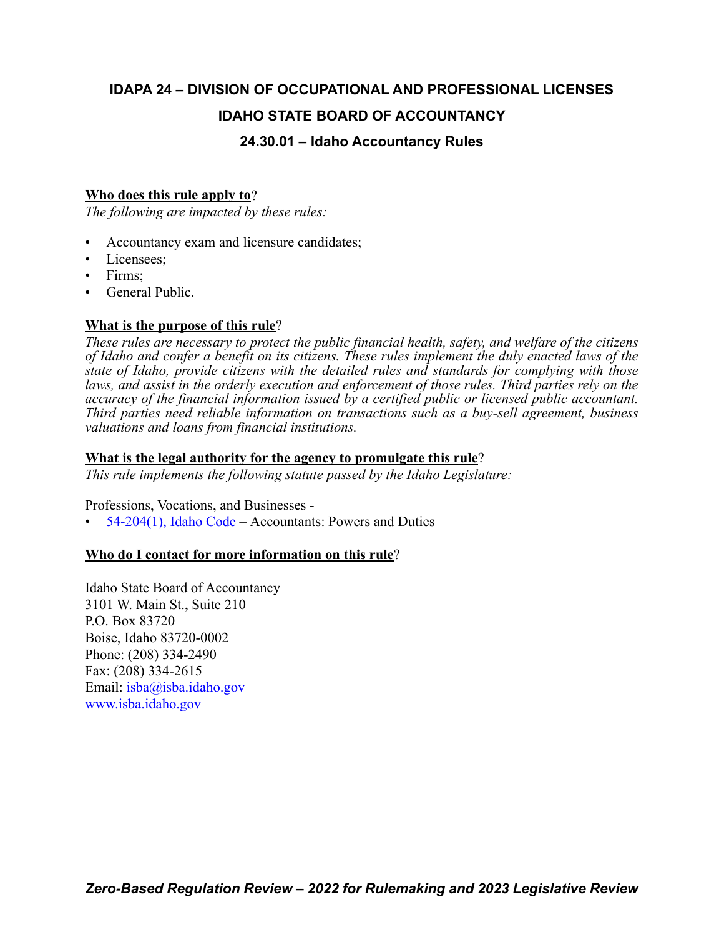## **IDAPA 24 – DIVISION OF OCCUPATIONAL AND PROFESSIONAL LICENSES IDAHO STATE BOARD OF ACCOUNTANCY**

## **24.30.01 – Idaho Accountancy Rules**

## **Who does this rule apply to**?

*The following are impacted by these rules:*

- Accountancy exam and licensure candidates;
- Licensees:
- Firms;
- General Public.

## **What is the purpose of this rule**?

*These rules are necessary to protect the public financial health, safety, and welfare of the citizens of Idaho and confer a benefit on its citizens. These rules implement the duly enacted laws of the state of Idaho, provide citizens with the detailed rules and standards for complying with those laws, and assist in the orderly execution and enforcement of those rules. Third parties rely on the accuracy of the financial information issued by a certified public or licensed public accountant. Third parties need reliable information on transactions such as a buy-sell agreement, business valuations and loans from financial institutions.*

## **What is the legal authority for the agency to promulgate this rule**?

*This rule implements the following statute passed by the Idaho Legislature:*

Professions, Vocations, and Businesses -

 $54-204(1)$ , Idaho Code – Accountants: Powers and Duties

## **Who do I contact for more information on this rule**?

Idaho State Board of Accountancy 3101 W. Main St., Suite 210 P.O. Box 83720 Boise, Idaho 83720-0002 Phone: (208) 334-2490 Fax: (208) 334-2615 Email: [isba@isba.idaho.gov](mailto:isba@isba.idaho.gov) <www.isba.idaho.gov>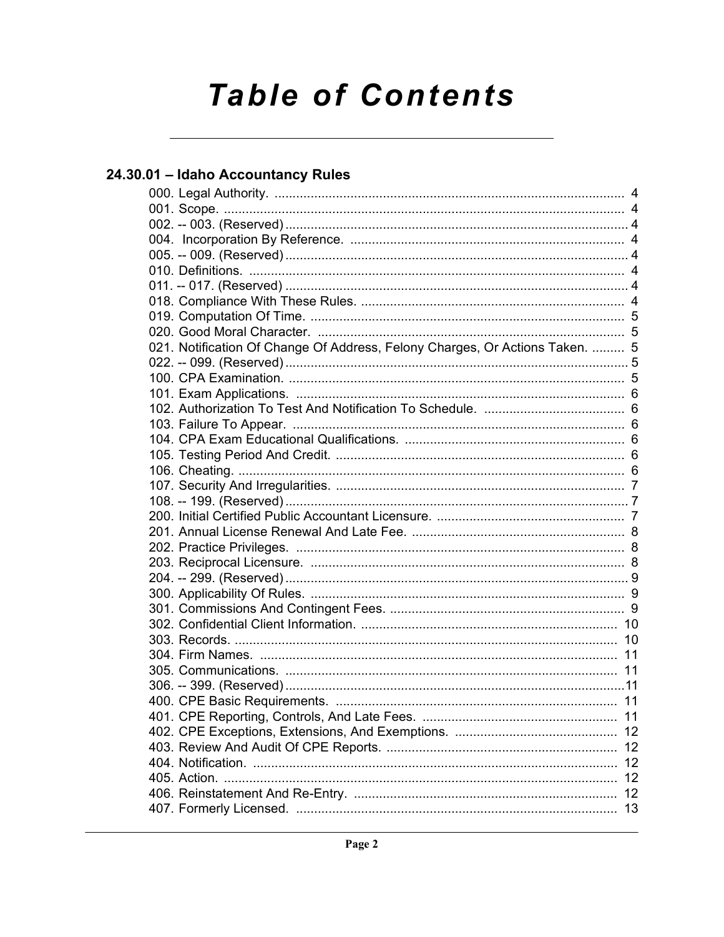# **Table of Contents**

## 24.30.01 - Idaho Accountancy Rules

| 021. Notification Of Change Of Address, Felony Charges, Or Actions Taken.  5 |    |
|------------------------------------------------------------------------------|----|
|                                                                              |    |
|                                                                              |    |
|                                                                              |    |
|                                                                              |    |
|                                                                              |    |
|                                                                              |    |
|                                                                              |    |
|                                                                              |    |
|                                                                              |    |
|                                                                              |    |
|                                                                              |    |
|                                                                              |    |
|                                                                              |    |
|                                                                              |    |
|                                                                              |    |
|                                                                              |    |
|                                                                              |    |
|                                                                              |    |
|                                                                              |    |
|                                                                              |    |
|                                                                              |    |
|                                                                              |    |
|                                                                              |    |
|                                                                              | 11 |
|                                                                              |    |
|                                                                              | 12 |
|                                                                              | 12 |
|                                                                              |    |
|                                                                              | 13 |
|                                                                              |    |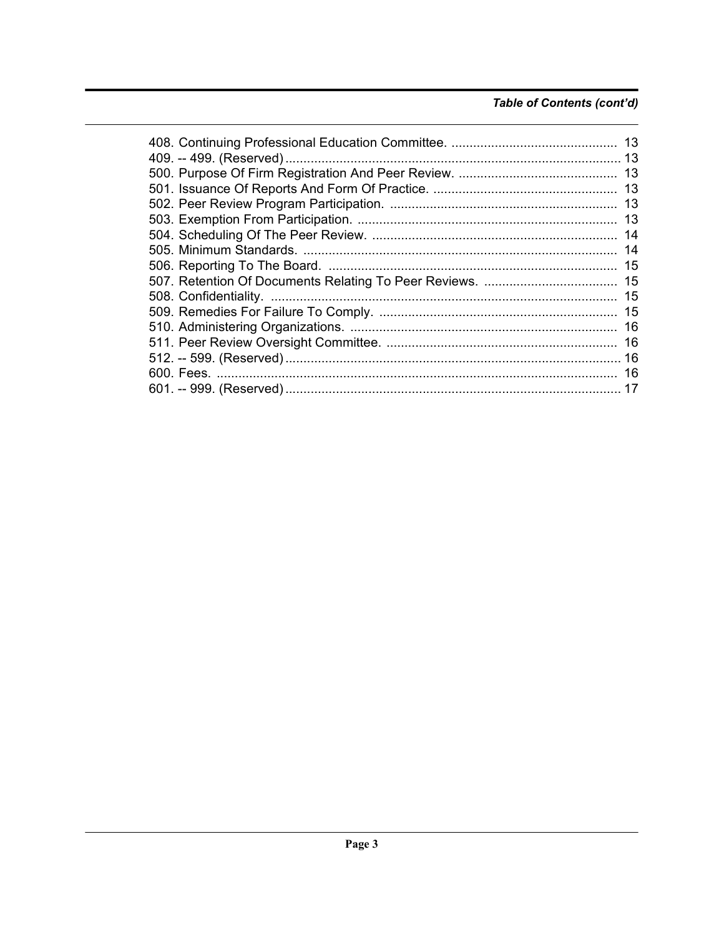## Table of Contents (cont'd)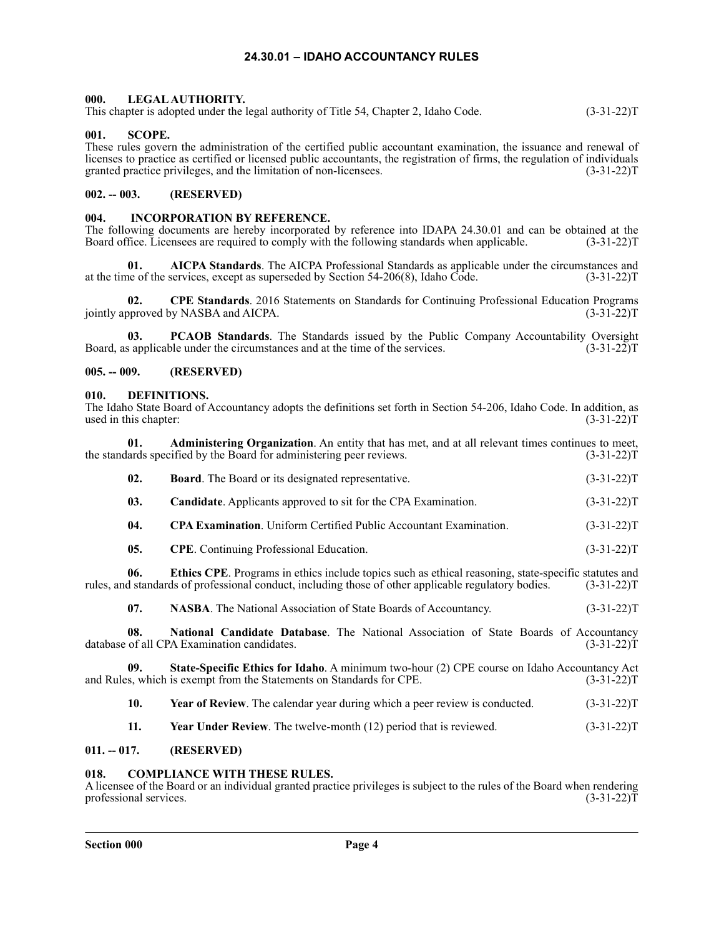#### **24.30.01 – IDAHO ACCOUNTANCY RULES**

#### <span id="page-3-1"></span><span id="page-3-0"></span>**000. LEGAL AUTHORITY.**

This chapter is adopted under the legal authority of Title 54, Chapter 2, Idaho Code. (3-31-22)T

#### <span id="page-3-2"></span>**001. SCOPE.**

These rules govern the administration of the certified public accountant examination, the issuance and renewal of licenses to practice as certified or licensed public accountants, the registration of firms, the regulation of individuals granted practice privileges, and the limitation of non-licensees. (3-31-22)T

#### <span id="page-3-3"></span>**002. -- 003. (RESERVED)**

#### <span id="page-3-4"></span>**004. INCORPORATION BY REFERENCE.**

The following documents are hereby incorporated by reference into IDAPA 24.30.01 and can be obtained at the Board office. Licensees are required to comply with the following standards when applicable. (3-31-22)T Board office. Licensees are required to comply with the following standards when applicable.

**01. AICPA Standards**. The AICPA Professional Standards as applicable under the circumstances and at the time of the services, except as superseded by Section 54-206(8), Idaho Code. (3-31-22)T

**02.** CPE Standards. 2016 Statements on Standards for Continuing Professional Education Programs opproved by NASBA and AICPA. (3-31-22) jointly approved by NASBA and AICPA.

**03. PCAOB Standards**. The Standards issued by the Public Company Accountability Oversight Board, as applicable under the circumstances and at the time of the services. (3-31-22)T

#### <span id="page-3-5"></span>**005. -- 009. (RESERVED)**

#### <span id="page-3-6"></span>**010. DEFINITIONS.**

The Idaho State Board of Accountancy adopts the definitions set forth in Section 54-206, Idaho Code. In addition, as used in this chapter: (3-31-22) used in this chapter:

**01. Administering Organization**. An entity that has met, and at all relevant times continues to meet, the standards specified by the Board for administering peer reviews. (3-31-22)T

| 02. | <b>Board.</b> The Board or its designated representative.                                                                                                                                                                                                                                                                    | $(3-31-22)T$ |
|-----|------------------------------------------------------------------------------------------------------------------------------------------------------------------------------------------------------------------------------------------------------------------------------------------------------------------------------|--------------|
| 03. | <b>Candidate.</b> Applicants approved to sit for the CPA Examination.                                                                                                                                                                                                                                                        | $(3-31-22)T$ |
| 04. | <b>CPA Examination.</b> Uniform Certified Public Accountant Examination.                                                                                                                                                                                                                                                     | $(3-31-22)T$ |
| 05. | <b>CPE</b> . Continuing Professional Education.                                                                                                                                                                                                                                                                              | $(3-31-22)T$ |
| 06. | <b>Ethics CPE.</b> Programs in ethics include topics such as ethical reasoning, state-specific statutes and<br>rules, and standards of professional conduct, including those of other applicable regulatory bodies.                                                                                                          | $(3-31-22)T$ |
| 07. | NASBA. The National Association of State Boards of Accountancy.                                                                                                                                                                                                                                                              | $(3-31-22)T$ |
| ΛΩ. | Moderate $\Omega$ and $\Omega$ and $\Omega$ and $\Omega$ and $\Omega$ and $\Omega$ and $\Omega$ and $\Omega$ and $\Omega$ and $\Omega$ and $\Omega$ and $\Omega$ and $\Omega$ and $\Omega$ and $\Omega$ and $\Omega$ and $\Omega$ and $\Omega$ and $\Omega$ and $\Omega$ and $\Omega$ and $\Omega$ and $\Omega$ and $\Omega$ |              |

**08.** National Candidate Database. The National Association of State Boards of Accountancy of all CPA Examination candidates. (3-31-22) database of all CPA Examination candidates.

**09. State-Specific Ethics for Idaho**. A minimum two-hour (2) CPE course on Idaho Accountancy Act and Rules, which is exempt from the Statements on Standards for CPE. (3-31-22)T

- **10.** Year of Review. The calendar year during which a peer review is conducted. (3-31-22)T
- **11.** Year Under Review. The twelve-month (12) period that is reviewed. (3-31-22)T

#### <span id="page-3-7"></span>**011. -- 017. (RESERVED)**

#### <span id="page-3-8"></span>**COMPLIANCE WITH THESE RULES.**

A licensee of the Board or an individual granted practice privileges is subject to the rules of the Board when rendering professional services. (3-31-22)T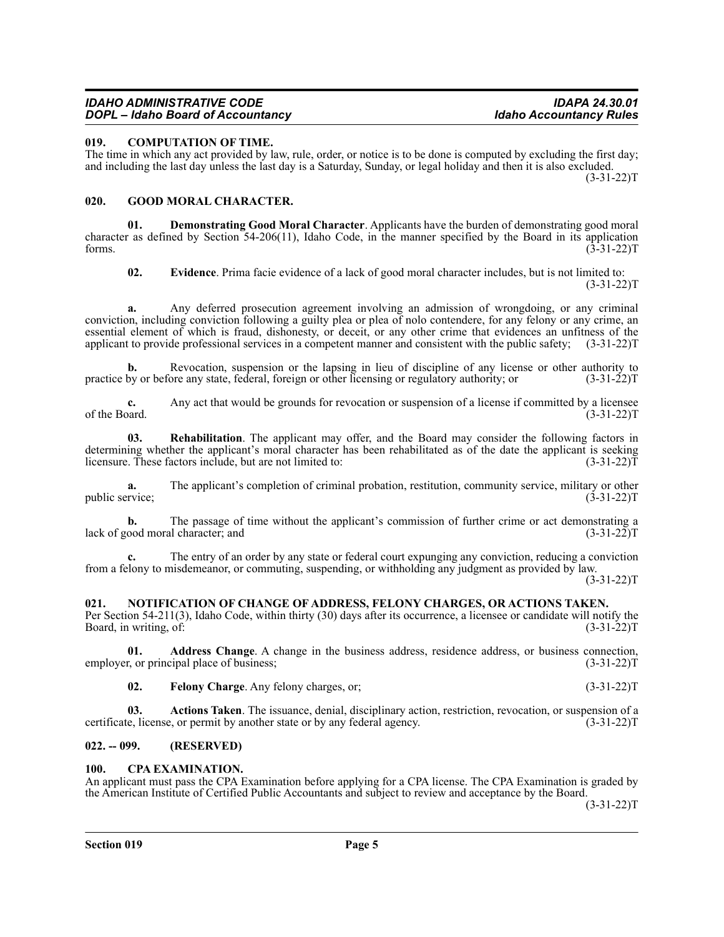#### *IDAHO ADMINISTRATIVE CODE IDAPA 24.30.01 DOPL – Idaho Board of Accountancy*

#### <span id="page-4-0"></span>**019. COMPUTATION OF TIME.**

The time in which any act provided by law, rule, order, or notice is to be done is computed by excluding the first day; and including the last day unless the last day is a Saturday, Sunday, or legal holiday and then it is also excluded. (3-31-22)T

#### <span id="page-4-1"></span>**020. GOOD MORAL CHARACTER.**

**01. Demonstrating Good Moral Character**. Applicants have the burden of demonstrating good moral character as defined by Section 54-206(11), Idaho Code, in the manner specified by the Board in its application forms.  $(3-31-22)T$ 

**02. Evidence**. Prima facie evidence of a lack of good moral character includes, but is not limited to:  $(3-31-22)T$ 

**a.** Any deferred prosecution agreement involving an admission of wrongdoing, or any criminal conviction, including conviction following a guilty plea or plea of nolo contendere, for any felony or any crime, an essential element of which is fraud, dishonesty, or deceit, or any other crime that evidences an unfitness of the applicant to provide professional services in a competent manner and consistent with the public safety; (3-31-22)T

**b.** Revocation, suspension or the lapsing in lieu of discipline of any license or other authority to practice by or before any state, federal, foreign or other licensing or regulatory authority; or (3-31-22)T

**c.** Any act that would be grounds for revocation or suspension of a license if committed by a licensee of the Board.  $(3-31-22)T$ 

**03. Rehabilitation**. The applicant may offer, and the Board may consider the following factors in determining whether the applicant's moral character has been rehabilitated as of the date the applicant is seeking<br>licensure. These factors include, but are not limited to: (3-31-22) licensure. These factors include, but are not limited to:

**a.** The applicant's completion of criminal probation, restitution, community service, military or other rivice; (3-31-22) public service;

**b.** The passage of time without the applicant's commission of further crime or act demonstrating a ood moral character; and (3-31-22) lack of good moral character; and

**c.** The entry of an order by any state or federal court expunging any conviction, reducing a conviction from a felony to misdemeanor, or commuting, suspending, or withholding any judgment as provided by law.

 $(3-31-22)T$ 

## <span id="page-4-2"></span>**021. NOTIFICATION OF CHANGE OF ADDRESS, FELONY CHARGES, OR ACTIONS TAKEN.**

Per Section 54-211(3), Idaho Code, within thirty (30) days after its occurrence, a licensee or candidate will notify the Board, in writing, of: (3-31-22)T

**01. Address Change**. A change in the business address, residence address, or business connection, r, or principal place of business; (3-31-22) employer, or principal place of business;

**02.** Felony Charge. Any felony charges, or; (3-31-22)T

**03.** Actions Taken. The issuance, denial, disciplinary action, restriction, revocation, or suspension of a *i.e.*, license, or permit by another state or by any federal agency. (3-31-22) certificate, license, or permit by another state or by any federal agency.

## <span id="page-4-3"></span>**022. -- 099. (RESERVED)**

## <span id="page-4-4"></span>**100. CPA EXAMINATION.**

An applicant must pass the CPA Examination before applying for a CPA license. The CPA Examination is graded by the American Institute of Certified Public Accountants and subject to review and acceptance by the Board.

 $(3-31-22)T$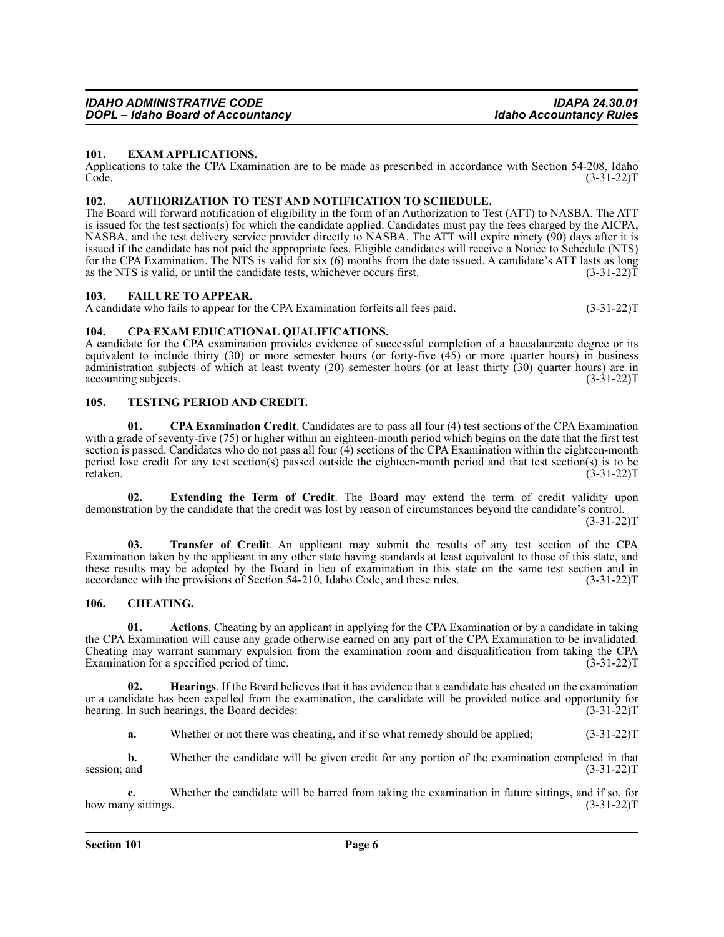#### <span id="page-5-0"></span>**101. EXAM APPLICATIONS.**

Applications to take the CPA Examination are to be made as prescribed in accordance with Section 54-208, Idaho<br>Code. (3-31-22) Code. (3-31-22)T

#### <span id="page-5-1"></span>**102. AUTHORIZATION TO TEST AND NOTIFICATION TO SCHEDULE.**

The Board will forward notification of eligibility in the form of an Authorization to Test (ATT) to NASBA. The ATT is issued for the test section(s) for which the candidate applied. Candidates must pay the fees charged by the AICPA, NASBA, and the test delivery service provider directly to NASBA. The ATT will expire ninety (90) days after it is issued if the candidate has not paid the appropriate fees. Eligible candidates will receive a Notice to Schedule (NTS) for the CPA Examination. The NTS is valid for six (6) months from the date issued. A candidate's ATT lasts as long as the NTS is valid, or until the candidate tests, whichever occurs first.  $(3-31-22)\tilde{T}$ 

#### <span id="page-5-2"></span>**103. FAILURE TO APPEAR.**

A candidate who fails to appear for the CPA Examination forfeits all fees paid. (3-31-22) (3-31-22) A

#### <span id="page-5-3"></span>**104. CPA EXAM EDUCATIONAL QUALIFICATIONS.**

A candidate for the CPA examination provides evidence of successful completion of a baccalaureate degree or its equivalent to include thirty (30) or more semester hours (or forty-five (45) or more quarter hours) in business administration subjects of which at least twenty (20) semester hours (or at least thirty (30) quarter hours) are in accounting subjects. (3-31-22)T

#### <span id="page-5-4"></span>**105. TESTING PERIOD AND CREDIT.**

**01. CPA Examination Credit**. Candidates are to pass all four (4) test sections of the CPA Examination with a grade of seventy-five (75) or higher within an eighteen-month period which begins on the date that the first test section is passed. Candidates who do not pass all four  $\overline{4}$ ) sections of the CPA Examination within the eighteen-month period lose credit for any test section(s) passed outside the eighteen-month period and that test section(s) is to be retaken. (3-31-22)T

**02. Extending the Term of Credit**. The Board may extend the term of credit validity upon demonstration by the candidate that the credit was lost by reason of circumstances beyond the candidate's control.  $(3-31-22)T$ 

**03. Transfer of Credit**. An applicant may submit the results of any test section of the CPA Examination taken by the applicant in any other state having standards at least equivalent to those of this state, and these results may be adopted by the Board in lieu of examination in this state on the same test section and in accordance with the provisions of Section 54-210, Idaho Code, and these rules. (3-31-22)T

#### <span id="page-5-5"></span>**106. CHEATING.**

**01. Actions**. Cheating by an applicant in applying for the CPA Examination or by a candidate in taking the CPA Examination will cause any grade otherwise earned on any part of the CPA Examination to be invalidated. Cheating may warrant summary expulsion from the examination room and disqualification from taking the CPA Examination for a specified period of time. (3-31-22)T

**02. Hearings**. If the Board believes that it has evidence that a candidate has cheated on the examination or a candidate has been expelled from the examination, the candidate will be provided notice and opportunity for hearing. In such hearings, the Board decides: (3-31-22)T

**a.** Whether or not there was cheating, and if so what remedy should be applied; (3-31-22)T

**b.** Whether the candidate will be given credit for any portion of the examination completed in that session; and  $(3-31-22)T$ 

**c.** Whether the candidate will be barred from taking the examination in future sittings, and if so, for how many sittings. (3-31-22)T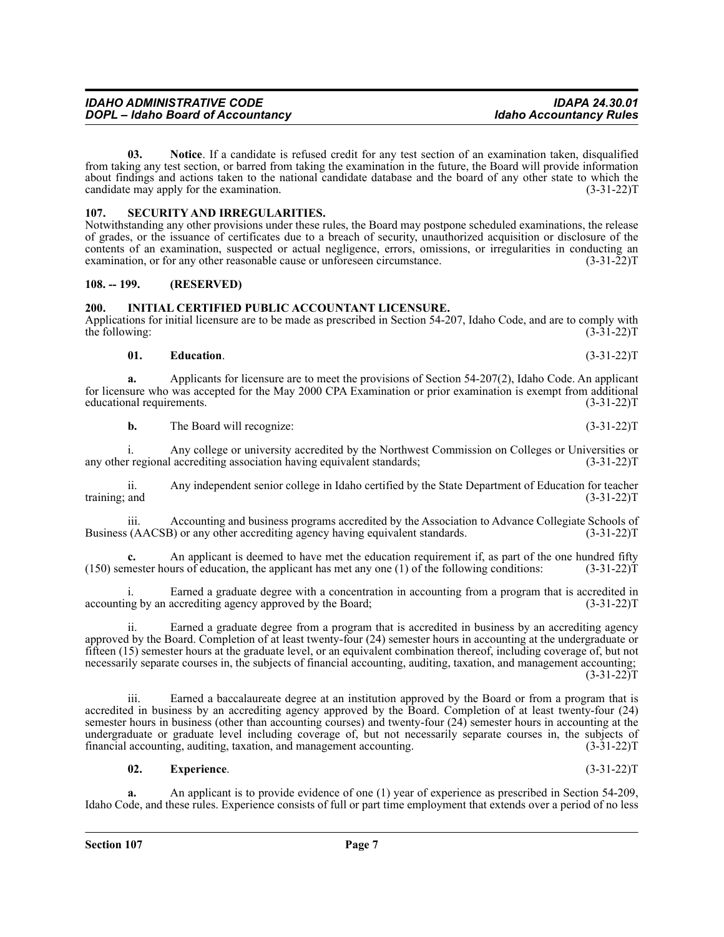**03. Notice**. If a candidate is refused credit for any test section of an examination taken, disqualified from taking any test section, or barred from taking the examination in the future, the Board will provide information about findings and actions taken to the national candidate database and the board of any other state to which the candidate may apply for the examination.  $(3-31-22)T$ 

#### <span id="page-6-0"></span>**107. SECURITY AND IRREGULARITIES.**

Notwithstanding any other provisions under these rules, the Board may postpone scheduled examinations, the release of grades, or the issuance of certificates due to a breach of security, unauthorized acquisition or disclosure of the contents of an examination, suspected or actual negligence, errors, omissions, or irregularities in conducting an examination, or for any other reasonable cause or unforeseen circumstance. (3-31-22) examination, or for any other reasonable cause or unforeseen circumstance.

#### <span id="page-6-1"></span>**108. -- 199. (RESERVED)**

#### <span id="page-6-2"></span>**200. INITIAL CERTIFIED PUBLIC ACCOUNTANT LICENSURE.**

Applications for initial licensure are to be made as prescribed in Section 54-207, Idaho Code, and are to comply with the following: (3-31-22) the following:

#### **01. Education**. (3-31-22)T

**a.** Applicants for licensure are to meet the provisions of Section 54-207(2), Idaho Code. An applicant for licensure who was accepted for the May 2000 CPA Examination or prior examination is exempt from additional educational requirements. (3-31-22) educational requirements.

**b.** The Board will recognize: (3-31-22)T

i. Any college or university accredited by the Northwest Commission on Colleges or Universities or regional accrediting association having equivalent standards; (3-31-22) any other regional accrediting association having equivalent standards;

ii. Any independent senior college in Idaho certified by the State Department of Education for teacher training; and (3-31-22)T

iii. Accounting and business programs accredited by the Association to Advance Collegiate Schools of Business (AACSB) or any other accrediting agency having equivalent standards. (3-31-22)T

**c.** An applicant is deemed to have met the education requirement if, as part of the one hundred fifty mester hours of education, the applicant has met any one (1) of the following conditions: (3-31-22)  $(150)$  semester hours of education, the applicant has met any one  $(1)$  of the following conditions:

Earned a graduate degree with a concentration in accounting from a program that is accredited in accrediting agency approved by the Board; (3-31-22) accounting by an accrediting agency approved by the Board;

ii. Earned a graduate degree from a program that is accredited in business by an accrediting agency approved by the Board. Completion of at least twenty-four (24) semester hours in accounting at the undergraduate or fifteen (15) semester hours at the graduate level, or an equivalent combination thereof, including coverage of, but not necessarily separate courses in, the subjects of financial accounting, auditing, taxation, and management accounting;  $(3-31-22)T$ 

iii. Earned a baccalaureate degree at an institution approved by the Board or from a program that is accredited in business by an accrediting agency approved by the Board. Completion of at least twenty-four (24) semester hours in business (other than accounting courses) and twenty-four (24) semester hours in accounting at the undergraduate or graduate level including coverage of, but not necessarily separate courses in, the subjects of financial accounting, auditing, taxation, and management accounting. (3-31-22)T

#### **02. Experience**. (3-31-22)T

**a.** An applicant is to provide evidence of one (1) year of experience as prescribed in Section 54-209, Idaho Code, and these rules. Experience consists of full or part time employment that extends over a period of no less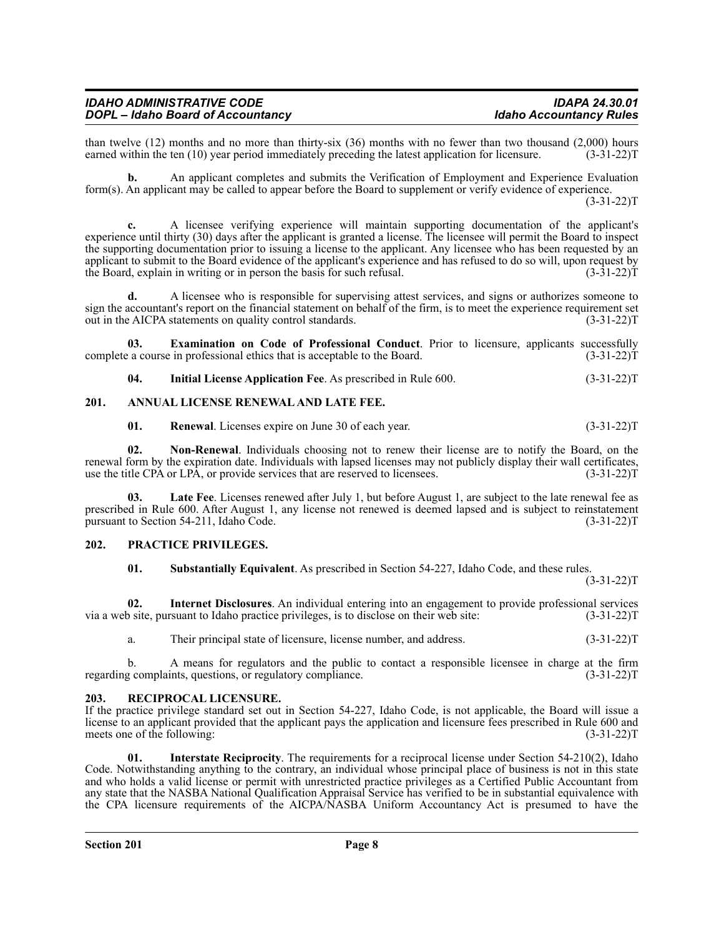| <b>IDAHO ADMINISTRATIVE CODE</b>         | <b>IDAPA 24.30.01</b>          |
|------------------------------------------|--------------------------------|
| <b>DOPL</b> – Idaho Board of Accountancy | <b>Idaho Accountancy Rules</b> |

than twelve (12) months and no more than thirty-six (36) months with no fewer than two thousand (2,000) hours earned within the ten (10) vear period immediately preceding the latest application for licensure. (3-31-22) earned within the ten (10) year period immediately preceding the latest application for licensure.

**b.** An applicant completes and submits the Verification of Employment and Experience Evaluation form(s). An applicant may be called to appear before the Board to supplement or verify evidence of experience.

 $(3-31-22)T$ 

**c.** A licensee verifying experience will maintain supporting documentation of the applicant's experience until thirty (30) days after the applicant is granted a license. The licensee will permit the Board to inspect the supporting documentation prior to issuing a license to the applicant. Any licensee who has been requested by an applicant to submit to the Board evidence of the applicant's experience and has refused to do so will, upon request by the Board, explain in writing or in person the basis for such refusal. (3-31-22)T

**d.** A licensee who is responsible for supervising attest services, and signs or authorizes someone to sign the accountant's report on the financial statement on behalf of the firm, is to meet the experience requirement set<br>out in the AICPA statements on quality control standards. (3-31-22) out in the AICPA statements on quality control standards.

**03. Examination on Code of Professional Conduct**. Prior to licensure, applicants successfully complete a course in professional ethics that is acceptable to the Board. (3-31-22)T

**04.** Initial License Application Fee. As prescribed in Rule 600. (3-31-22)T

#### <span id="page-7-0"></span>**201. ANNUAL LICENSE RENEWAL AND LATE FEE.**

**01.** Renewal. Licenses expire on June 30 of each year. (3-31-22)T

**02. Non-Renewal**. Individuals choosing not to renew their license are to notify the Board, on the renewal form by the expiration date. Individuals with lapsed licenses may not publicly display their wall certificates, use the title CPA or LPA, or provide services that are reserved to licensees. (3-31-22)T

**Late Fee.** Licenses renewed after July 1, but before August 1, are subject to the late renewal fee as prescribed in Rule 600. After August 1, any license not renewed is deemed lapsed and is subject to reinstatement pursuant to Section 54-211, Idaho Code. (3-31-22)T

#### <span id="page-7-1"></span>**202. PRACTICE PRIVILEGES.**

**01. Substantially Equivalent**. As prescribed in Section 54-227, Idaho Code, and these rules.  $(3-31-22)T$ 

**02.** Internet Disclosures. An individual entering into an engagement to provide professional services of site, pursuant to Idaho practice privileges, is to disclose on their web site: (3-31-22) via a web site, pursuant to Idaho practice privileges, is to disclose on their web site:

a. Their principal state of licensure, license number, and address. (3-31-22)T

b. A means for regulators and the public to contact a responsible licensee in charge at the firm g complaints, questions, or regulatory compliance.  $(3-31-22)$ regarding complaints, questions, or regulatory compliance.

#### <span id="page-7-2"></span>**203. RECIPROCAL LICENSURE.**

If the practice privilege standard set out in Section 54-227, Idaho Code, is not applicable, the Board will issue a license to an applicant provided that the applicant pays the application and licensure fees prescribed in Rule 600 and meets one of the following: (3-31-22)T

**01.** Interstate Reciprocity. The requirements for a reciprocal license under Section 54-210(2), Idaho Code. Notwithstanding anything to the contrary, an individual whose principal place of business is not in this state and who holds a valid license or permit with unrestricted practice privileges as a Certified Public Accountant from any state that the NASBA National Qualification Appraisal Service has verified to be in substantial equivalence with the CPA licensure requirements of the AICPA/NASBA Uniform Accountancy Act is presumed to have the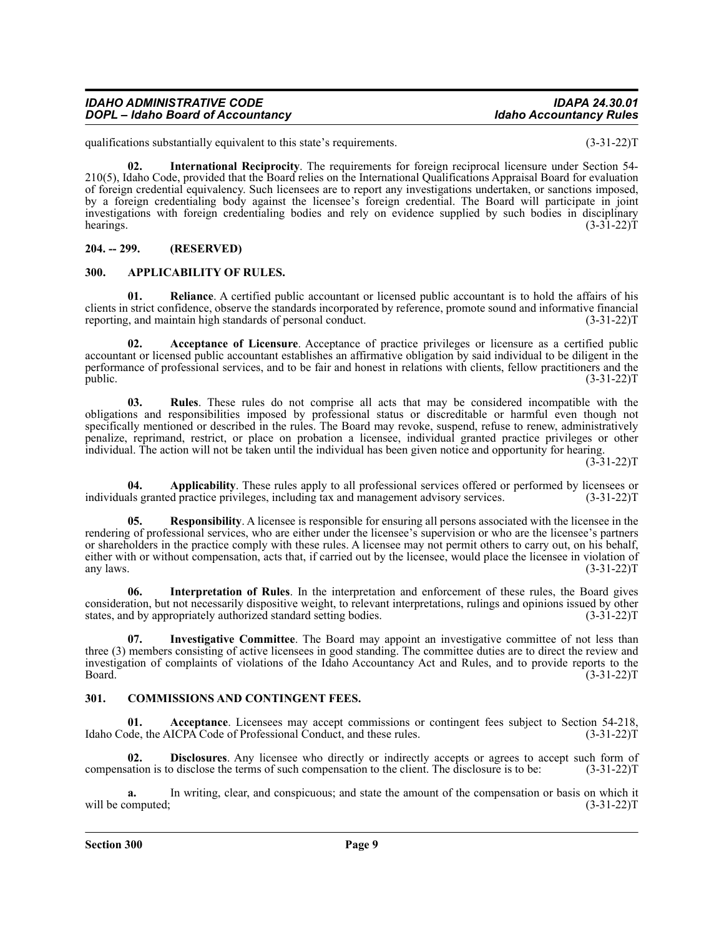#### **Section 300 Page 9**

<span id="page-8-0"></span>**204. -- 299. (RESERVED)**

<span id="page-8-1"></span>**300. APPLICABILITY OF RULES.**

**a.** In writing, clear, and conspicuous; and state the amount of the compensation or basis on which it will be computed; (3-31-22) T

compensation is to disclose the terms of such compensation to the client. The disclosure is to be:

<span id="page-8-2"></span>**301. COMMISSIONS AND CONTINGENT FEES. 01. Acceptance**. Licensees may accept commissions or contingent fees subject to Section 54-218, Idaho Code, the AICPA Code of Professional Conduct, and these rules. (3-31-22)T

**02. Disclosures**. Any licensee who directly or indirectly accepts or agrees to accept such form of ation is to disclose the terms of such compensation to the client. The disclosure is to be: (3-31-22)

**07. Investigative Committee**. The Board may appoint an investigative committee of not less than

three (3) members consisting of active licensees in good standing. The committee duties are to direct the review and investigation of complaints of violations of the Idaho Accountancy Act and Rules, and to provide reports to the Board. (3-31-22)T

consideration, but not necessarily dispositive weight, to relevant interpretations, rulings and opinions issued by other states, and by appropriately authorized standard setting bodies. (3-31-22) states, and by appropriately authorized standard setting bodies.

any laws.  $(3-31-22)T$ 

**06. Interpretation of Rules**. In the interpretation and enforcement of these rules, the Board gives

rendering of professional services, who are either under the licensee's supervision or who are the licensee's partners or shareholders in the practice comply with these rules. A licensee may not permit others to carry out, on his behalf, either with or without compensation, acts that, if carried out by the licensee, would place the licensee in violation of any laws.

specifically mentioned or described in the rules. The Board may revoke, suspend, refuse to renew, administratively penalize, reprimand, restrict, or place on probation a licensee, individual granted practice privileges or other individual. The action will not be taken until the individual has been given notice and opportunity for hearing.  $(3-31-22)T$ 

individuals granted practice privileges, including tax and management advisory services.

**02. Acceptance of Licensure**. Acceptance of practice privileges or licensure as a certified public accountant or licensed public accountant establishes an affirmative obligation by said individual to be diligent in the performance of professional services, and to be fair and honest in relations with clients, fellow practitioners and the

public.  $(3-31-22)T$ 

obligations and responsibilities imposed by professional status or discreditable or harmful even though not

**03. Rules**. These rules do not comprise all acts that may be considered incompatible with the

**04.** Applicability. These rules apply to all professional services offered or performed by licensees or all professional services or  $(3-31-22)$ T

**Responsibility**. A licensee is responsible for ensuring all persons associated with the licensee in the

reporting, and maintain high standards of personal conduct.

clients in strict confidence, observe the standards incorporated by reference, promote sound and informative financial reporting, and maintain high standards of personal conduct. (3-31-22)

**Reliance**. A certified public accountant or licensed public accountant is to hold the affairs of his

**02. International Reciprocity**. The requirements for foreign reciprocal licensure under Section 54- 210(5), Idaho Code, provided that the Board relies on the International Qualifications Appraisal Board for evaluation of foreign credential equivalency. Such licensees are to report any investigations undertaken, or sanctions imposed, by a foreign credentialing body against the licensee's foreign credential. The Board will participate in joint investigations with foreign credentialing bodies and rely on evidence supplied by such bodies in disciplinary

qualifications substantially equivalent to this state's requirements. (3-31-22)T

hearings.  $(3-31-22)T$ 

*IDAHO ADMINISTRATIVE CODE IDAPA 24.30.01 DOPL – Idaho Board of Accountancy*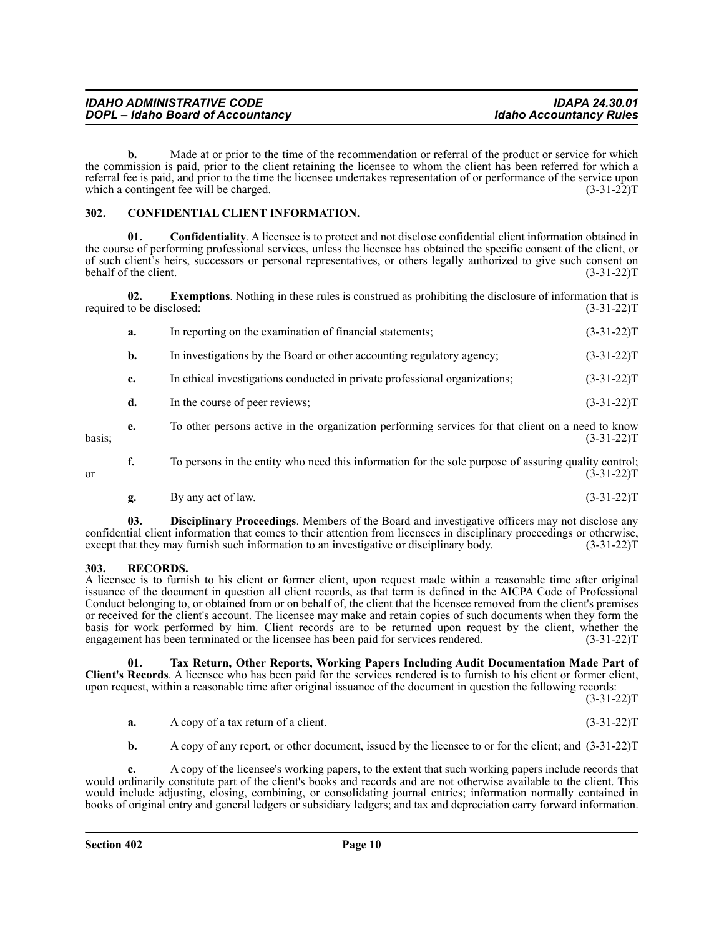| <b>IDAHO ADMINISTRATIVE CODE</b>         | <b>IDAPA 24.30.01</b>          |
|------------------------------------------|--------------------------------|
| <b>DOPL</b> - Idaho Board of Accountancy | <b>Idaho Accountancy Rules</b> |

**b.** Made at or prior to the time of the recommendation or referral of the product or service for which the commission is paid, prior to the client retaining the licensee to whom the client has been referred for which a referral fee is paid, and prior to the time the licensee undertakes representation of or performance of the service upon which a contingent fee will be charged. (3-31-22)T

#### <span id="page-9-0"></span>**302. CONFIDENTIAL CLIENT INFORMATION.**

**01. Confidentiality**. A licensee is to protect and not disclose confidential client information obtained in the course of performing professional services, unless the licensee has obtained the specific consent of the client, or of such client's heirs, successors or personal representatives, or others legally authorized to give such consent on behalf of the client. (3-31-22)T

**02. Exemptions**. Nothing in these rules is construed as prohibiting the disclosure of information that is required to be disclosed:  $(3-31-22)T$ 

|        | a. | In reporting on the examination of financial statements;                                             | $(3-31-22)T$     |
|--------|----|------------------------------------------------------------------------------------------------------|------------------|
|        | b. | In investigations by the Board or other accounting regulatory agency;                                | $(3-31-22)T$     |
|        | c. | In ethical investigations conducted in private professional organizations;                           | $(3-31-22)T$     |
|        | d. | In the course of peer reviews;                                                                       | $(3-31-22)T$     |
| basis; | e. | To other persons active in the organization performing services for that client on a need to know    | $(3-31-22)T$     |
| or     | f. | To persons in the entity who need this information for the sole purpose of assuring quality control; | $(3 - 31 - 22)T$ |

**g.** By any act of law.  $(3-31-22)T$ 

**03. Disciplinary Proceedings**. Members of the Board and investigative officers may not disclose any confidential client information that comes to their attention from licensees in disciplinary proceedings or otherwise, except that they may furnish such information to an investigative or disciplinary body. (3-31-22) except that they may furnish such information to an investigative or disciplinary body.

#### <span id="page-9-1"></span>**303. RECORDS.**

A licensee is to furnish to his client or former client, upon request made within a reasonable time after original issuance of the document in question all client records, as that term is defined in the AICPA Code of Professional Conduct belonging to, or obtained from or on behalf of, the client that the licensee removed from the client's premises or received for the client's account. The licensee may make and retain copies of such documents when they form the basis for work performed by him. Client records are to be returned upon request by the client, whether the engagement has been terminated or the licensee has been paid for services rendered. (3-31-22)T

**01. Tax Return, Other Reports, Working Papers Including Audit Documentation Made Part of Client's Records**. A licensee who has been paid for the services rendered is to furnish to his client or former client, upon request, within a reasonable time after original issuance of the document in question the following records:

 $(3-31-22)T$ 

| A copy of a tax return of a client. | $(3-31-22)T$ |
|-------------------------------------|--------------|

**b.** A copy of any report, or other document, issued by the licensee to or for the client; and  $(3-31-22)$ T

**c.** A copy of the licensee's working papers, to the extent that such working papers include records that would ordinarily constitute part of the client's books and records and are not otherwise available to the client. This would include adjusting, closing, combining, or consolidating journal entries; information normally contained in books of original entry and general ledgers or subsidiary ledgers; and tax and depreciation carry forward information.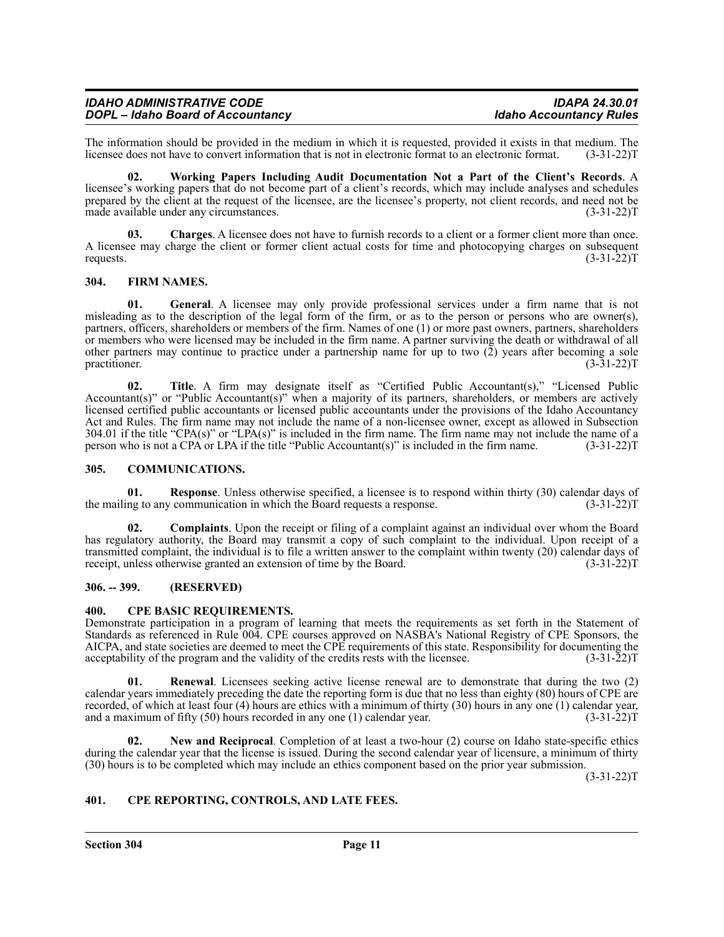| <b>IDAHO ADMINISTRATIVE CODE</b>  | <b>IDAPA 24.30.01</b>          |
|-----------------------------------|--------------------------------|
| DOPL - Idaho Board of Accountancy | <b>Idaho Accountancy Rules</b> |

The information should be provided in the medium in which it is requested, provided it exists in that medium. The licensee does not have to convert information that is not in electronic format to an electronic format. (3-3 licensee does not have to convert information that is not in electronic format to an electronic format.

**02. Working Papers Including Audit Documentation Not a Part of the Client's Records**. A licensee's working papers that do not become part of a client's records, which may include analyses and schedules prepared by the client at the request of the licensee, are the licensee's property, not client records, and need not be made available under any circumstances. (3-31-22)T

**03. Charges**. A licensee does not have to furnish records to a client or a former client more than once. A licensee may charge the client or former client actual costs for time and photocopying charges on subsequent requests.  $(3-31-22)T$ 

#### <span id="page-10-0"></span>**304. FIRM NAMES.**

**01. General**. A licensee may only provide professional services under a firm name that is not misleading as to the description of the legal form of the firm, or as to the person or persons who are owner(s), partners, officers, shareholders or members of the firm. Names of one (1) or more past owners, partners, shareholders or members who were licensed may be included in the firm name. A partner surviving the death or withdrawal of all other partners may continue to practice under a partnership name for up to two  $(2)$  years after becoming a sole practitioner.  $(3-31-22)$ T practitioner.  $(3-31-22)T$ 

**02. Title**. A firm may designate itself as "Certified Public Accountant(s)," "Licensed Public Accountant(s)" or "Public Accountant(s)" when a majority of its partners, shareholders, or members are actively licensed certified public accountants or licensed public accountants under the provisions of the Idaho Accountancy Act and Rules. The firm name may not include the name of a non-licensee owner, except as allowed in Subsection 304.01 if the title "CPA(s)" or "LPA(s)" is included in the firm name. The firm name may not include the name of a person who is not a CPA or LPA if the title "Public Accountant(s)" is included in the firm name. (3-31-22)T

#### <span id="page-10-1"></span>**305. COMMUNICATIONS.**

**01. Response**. Unless otherwise specified, a licensee is to respond within thirty (30) calendar days of ng to any communication in which the Board requests a response. (3-31-22) the mailing to any communication in which the Board requests a response.

**02. Complaints**. Upon the receipt or filing of a complaint against an individual over whom the Board has regulatory authority, the Board may transmit a copy of such complaint to the individual. Upon receipt of a transmitted complaint, the individual is to file a written answer to the complaint within twenty (20) calendar days of receipt, unless otherwise granted an extension of time by the Board. (3-31-22)T

#### <span id="page-10-2"></span>**306. -- 399. (RESERVED)**

#### <span id="page-10-3"></span>**400. CPE BASIC REQUIREMENTS.**

Demonstrate participation in a program of learning that meets the requirements as set forth in the Statement of Standards as referenced in Rule 004. CPE courses approved on NASBA's National Registry of CPE Sponsors, the AICPA, and state societies are deemed to meet the CPE requirements of this state. Responsibility for documenting the acceptability of the program and the validity of the credits rests with the licensee. (3-31-22)T

**01. Renewal**. Licensees seeking active license renewal are to demonstrate that during the two (2) calendar years immediately preceding the date the reporting form is due that no less than eighty (80) hours of CPE are recorded, of which at least four (4) hours are ethics with a minimum of thirty (30) hours in any one (1) calendar year, and a maximum of fifty (50) hours recorded in any one (1) calendar year.  $(3-31-22)$ and a maximum of fifty  $(50)$  hours recorded in any one  $(1)$  calendar year.

**02. New and Reciprocal**. Completion of at least a two-hour (2) course on Idaho state-specific ethics during the calendar year that the license is issued. During the second calendar year of licensure, a minimum of thirty (30) hours is to be completed which may include an ethics component based on the prior year submission.

 $(3-31-22)T$ 

#### <span id="page-10-4"></span>**401. CPE REPORTING, CONTROLS, AND LATE FEES.**

**Section 304 Page 11**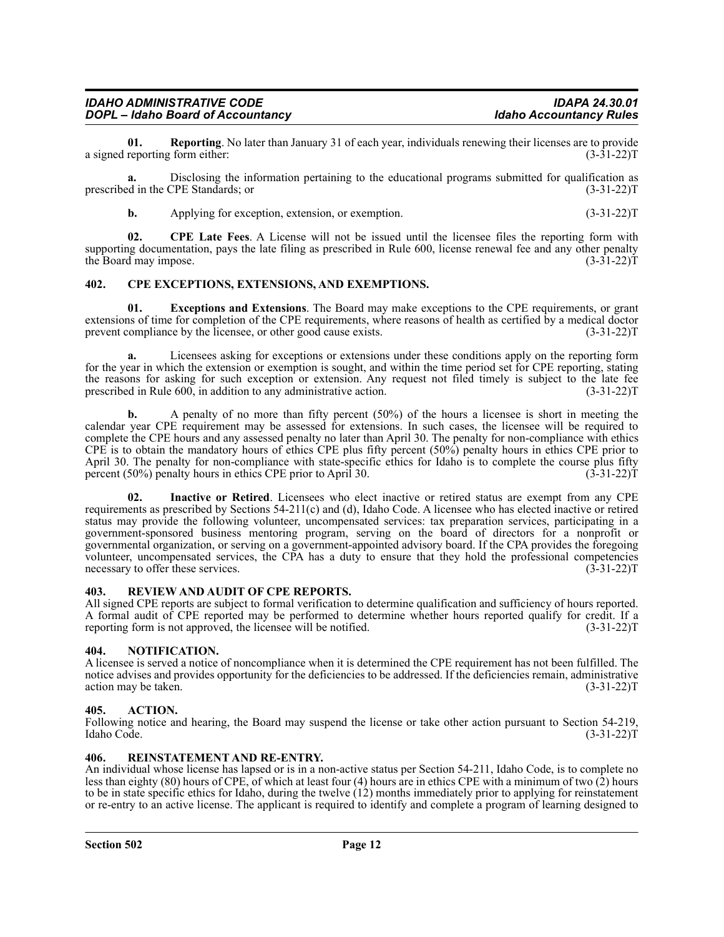**01. Reporting**. No later than January 31 of each year, individuals renewing their licenses are to provide a signed reporting form either:

**a.** Disclosing the information pertaining to the educational programs submitted for qualification as ed in the CPE Standards; or (3-31-22) prescribed in the CPE Standards; or

**b.** Applying for exception, extension, or exemption. (3-31-22)T

**02. CPE Late Fees**. A License will not be issued until the licensee files the reporting form with supporting documentation, pays the late filing as prescribed in Rule 600, license renewal fee and any other penalty<br>the Board may impose. (3-31-22) the Board may impose.

#### <span id="page-11-0"></span>**402. CPE EXCEPTIONS, EXTENSIONS, AND EXEMPTIONS.**

**01. Exceptions and Extensions**. The Board may make exceptions to the CPE requirements, or grant extensions of time for completion of the CPE requirements, where reasons of health as certified by a medical doctor prevent compliance by the license, or other good cause exists. (3-31-22) prevent compliance by the licensee, or other good cause exists.

**a.** Licensees asking for exceptions or extensions under these conditions apply on the reporting form for the year in which the extension or exemption is sought, and within the time period set for CPE reporting, stating the reasons for asking for such exception or extension. Any request not filed timely is subject to the late fee<br>prescribed in Rule 600, in addition to any administrative action. (3-31-22) prescribed in Rule 600, in addition to any administrative action.

**b.** A penalty of no more than fifty percent (50%) of the hours a licensee is short in meeting the calendar year CPE requirement may be assessed for extensions. In such cases, the licensee will be required to complete the CPE hours and any assessed penalty no later than April 30. The penalty for non-compliance with ethics CPE is to obtain the mandatory hours of ethics CPE plus fifty percent (50%) penalty hours in ethics CPE prior to April 30. The penalty for non-compliance with state-specific ethics for Idaho is to complete the course plus fifty percent (50%) penalty hours in ethics CPE prior to April 30. (3-31-22)T

**02. Inactive or Retired**. Licensees who elect inactive or retired status are exempt from any CPE requirements as prescribed by Sections 54-211(c) and (d), Idaho Code. A licensee who has elected inactive or retired status may provide the following volunteer, uncompensated services: tax preparation services, participating in a government-sponsored business mentoring program, serving on the board of directors for a nonprofit or governmental organization, or serving on a government-appointed advisory board. If the CPA provides the foregoing volunteer, uncompensated services, the CPA has a duty to ensure that they hold the professional competencies necessary to offer these services. (3-31-22) necessary to offer these services.

#### <span id="page-11-1"></span>**403. REVIEW AND AUDIT OF CPE REPORTS.**

All signed CPE reports are subject to formal verification to determine qualification and sufficiency of hours reported. A formal audit of CPE reported may be performed to determine whether hours reported qualify for credit. If a reporting form is not approved, the licensee will be notified. (3-31-22) T

#### <span id="page-11-2"></span>**404. NOTIFICATION.**

A licensee is served a notice of noncompliance when it is determined the CPE requirement has not been fulfilled. The notice advises and provides opportunity for the deficiencies to be addressed. If the deficiencies remain, administrative action may be taken.  $(3-31-22)T$ 

#### <span id="page-11-3"></span>**405. ACTION.**

Following notice and hearing, the Board may suspend the license or take other action pursuant to Section 54-219, Idaho Code. (3-31-22)T

#### <span id="page-11-4"></span>**406. REINSTATEMENT AND RE-ENTRY.**

An individual whose license has lapsed or is in a non-active status per Section 54-211, Idaho Code, is to complete no less than eighty (80) hours of CPE, of which at least four (4) hours are in ethics CPE with a minimum of two (2) hours to be in state specific ethics for Idaho, during the twelve (12) months immediately prior to applying for reinstatement or re-entry to an active license. The applicant is required to identify and complete a program of learning designed to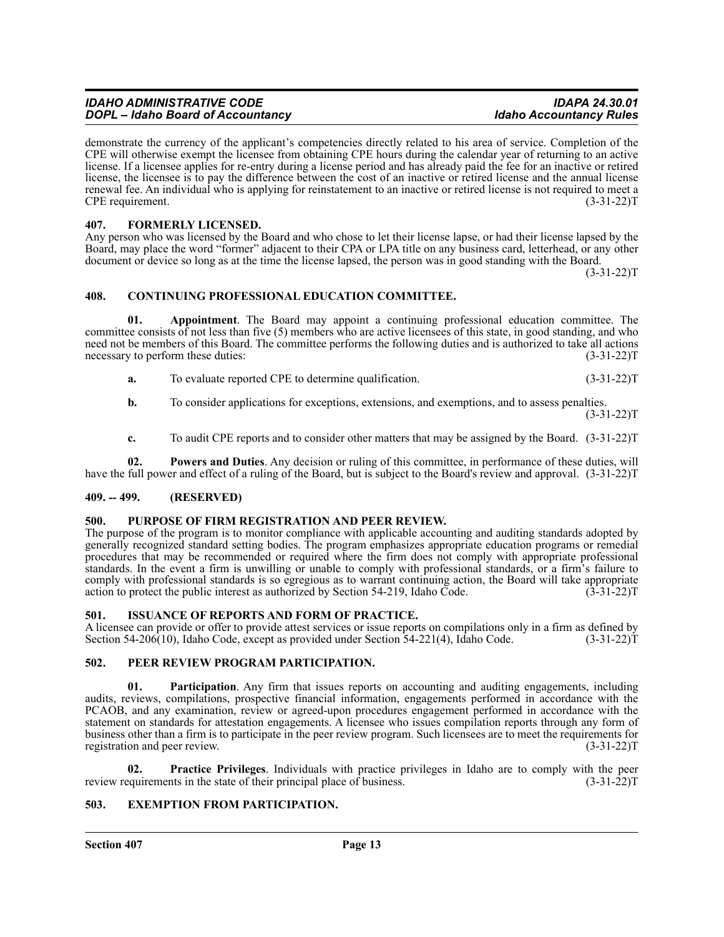| <b>IDAHO ADMINISTRATIVE CODE</b>  | <b>IDAPA 24.30.01</b>          |
|-----------------------------------|--------------------------------|
| DOPL - Idaho Board of Accountancy | <b>Idaho Accountancy Rules</b> |

demonstrate the currency of the applicant's competencies directly related to his area of service. Completion of the CPE will otherwise exempt the licensee from obtaining CPE hours during the calendar year of returning to an active license. If a licensee applies for re-entry during a license period and has already paid the fee for an inactive or retired license, the licensee is to pay the difference between the cost of an inactive or retired license and the annual license renewal fee. An individual who is applying for reinstatement to an inactive or retired license is not required to meet a CPE requirement. (3-31-22)T

#### <span id="page-12-0"></span>**407. FORMERLY LICENSED.**

Any person who was licensed by the Board and who chose to let their license lapse, or had their license lapsed by the Board, may place the word "former" adjacent to their CPA or LPA title on any business card, letterhead, or any other document or device so long as at the time the license lapsed, the person was in good standing with the Board.

 $(3-31-22)T$ 

#### <span id="page-12-1"></span>**408. CONTINUING PROFESSIONAL EDUCATION COMMITTEE.**

**01. Appointment**. The Board may appoint a continuing professional education committee. The committee consists of not less than five (5) members who are active licensees of this state, in good standing, and who need not be members of this Board. The committee performs the following duties and is authorized to take all actions necessary to perform these duties: (3-31-22) T

- **a.** To evaluate reported CPE to determine qualification. (3-31-22) T
- **b.** To consider applications for exceptions, extensions, and exemptions, and to assess penalties.

 $(3-31-22)T$ 

**c.** To audit CPE reports and to consider other matters that may be assigned by the Board. (3-31-22)T

**02. Powers and Duties**. Any decision or ruling of this committee, in performance of these duties, will have the full power and effect of a ruling of the Board, but is subject to the Board's review and approval. (3-31-22)T

#### <span id="page-12-2"></span>**409. -- 499. (RESERVED)**

#### <span id="page-12-3"></span>**500. PURPOSE OF FIRM REGISTRATION AND PEER REVIEW.**

The purpose of the program is to monitor compliance with applicable accounting and auditing standards adopted by generally recognized standard setting bodies. The program emphasizes appropriate education programs or remedial procedures that may be recommended or required where the firm does not comply with appropriate professional standards. In the event a firm is unwilling or unable to comply with professional standards, or a firm's failure to comply with professional standards is so egregious as to warrant continuing action, the Board will take appropriate action to protect the public interest as authorized by Section 54-219, Idaho Code. (3-31-22)T

#### <span id="page-12-4"></span>**501. ISSUANCE OF REPORTS AND FORM OF PRACTICE.**

A licensee can provide or offer to provide attest services or issue reports on compilations only in a firm as defined by Section 54-206(10), Idaho Code, except as provided under Section 54-221(4), Idaho Code. (3-31-22)T

#### <span id="page-12-5"></span>**502. PEER REVIEW PROGRAM PARTICIPATION.**

**01.** Participation. Any firm that issues reports on accounting and auditing engagements, including audits, reviews, compilations, prospective financial information, engagements performed in accordance with the PCAOB, and any examination, review or agreed-upon procedures engagement performed in accordance with the statement on standards for attestation engagements. A licensee who issues compilation reports through any form of business other than a firm is to participate in the peer review program. Such licensees are to meet the requirements for registration and peer review. (3-31-22) T

**02. Practice Privileges**. Individuals with practice privileges in Idaho are to comply with the peer equirements in the state of their principal place of business. (3-31-22) review requirements in the state of their principal place of business.

#### <span id="page-12-6"></span>**503. EXEMPTION FROM PARTICIPATION.**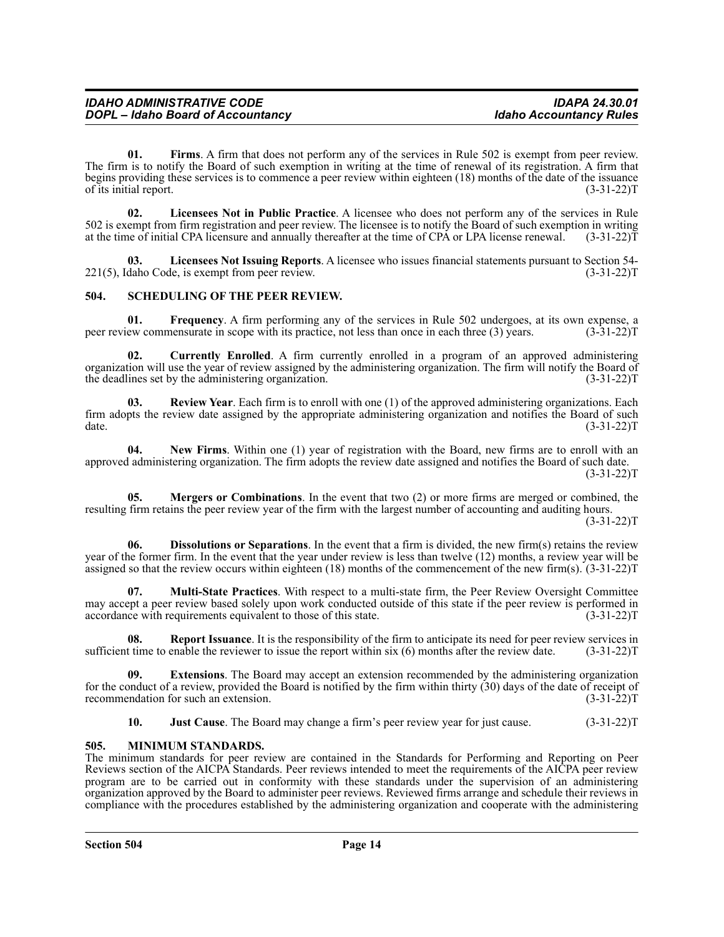**01.** Firms. A firm that does not perform any of the services in Rule 502 is exempt from peer review. The firm is to notify the Board of such exemption in writing at the time of renewal of its registration. A firm that begins providing these services is to commence a peer review within eighteen (18) months of the date of the issuance of its initial report. (3-31-22)T

**02. Licensees Not in Public Practice**. A licensee who does not perform any of the services in Rule 502 is exempt from firm registration and peer review. The licensee is to notify the Board of such exemption in writing at the time of initial CPA licensure and annually thereafter at the time of CPA or LPA license renewal. (3-31-22)T

**03.** Licensees Not Issuing Reports. A licensee who issues financial statements pursuant to Section 54-<br>daho Code, is exempt from peer review. (3-31-22)T  $221(5)$ , Idaho Code, is exempt from peer review.

#### <span id="page-13-0"></span>**504. SCHEDULING OF THE PEER REVIEW.**

**01. Frequency**. A firm performing any of the services in Rule 502 undergoes, at its own expense, a ew commensurate in scope with its practice, not less than once in each three (3) years. (3-31-22) T peer review commensurate in scope with its practice, not less than once in each three (3) years.

**02. Currently Enrolled**. A firm currently enrolled in a program of an approved administering organization will use the year of review assigned by the administering organization. The firm will notify the Board of the deadlines set by the administering organization. (3-31-22)T

**03. Review Year**. Each firm is to enroll with one (1) of the approved administering organizations. Each firm adopts the review date assigned by the appropriate administering organization and notifies the Board of such date. (3-31-22)T

**04. New Firms**. Within one (1) year of registration with the Board, new firms are to enroll with an approved administering organization. The firm adopts the review date assigned and notifies the Board of such date.  $(3-31-22)T$ 

**05. Mergers or Combinations**. In the event that two (2) or more firms are merged or combined, the resulting firm retains the peer review year of the firm with the largest number of accounting and auditing hours.  $(3-31-22)T$ 

**06. Dissolutions or Separations**. In the event that a firm is divided, the new firm(s) retains the review year of the former firm. In the event that the year under review is less than twelve (12) months, a review year will be assigned so that the review occurs within eighteen (18) months of the commencement of the new firm(s).  $(3-31-22)$ T

**07. Multi-State Practices**. With respect to a multi-state firm, the Peer Review Oversight Committee may accept a peer review based solely upon work conducted outside of this state if the peer review is performed in accordance with requirements equivalent to those of this state. (3-31-22)T

**08.** Report Issuance. It is the responsibility of the firm to anticipate its need for peer review services in t time to enable the reviewer to issue the report within six (6) months after the review date. (3-31-22) T sufficient time to enable the reviewer to issue the report within six  $(6)$  months after the review date.

**Extensions**. The Board may accept an extension recommended by the administering organization for the conduct of a review, provided the Board is notified by the firm within thirty (30) days of the date of receipt of recommendation for such an extension. (3-31-22)T

**10. Just Cause**. The Board may change a firm's peer review year for just cause. (3-31-22)T

#### <span id="page-13-1"></span>**505. MINIMUM STANDARDS.**

The minimum standards for peer review are contained in the Standards for Performing and Reporting on Peer Reviews section of the AICPA Standards. Peer reviews intended to meet the requirements of the AICPA peer review program are to be carried out in conformity with these standards under the supervision of an administering organization approved by the Board to administer peer reviews. Reviewed firms arrange and schedule their reviews in compliance with the procedures established by the administering organization and cooperate with the administering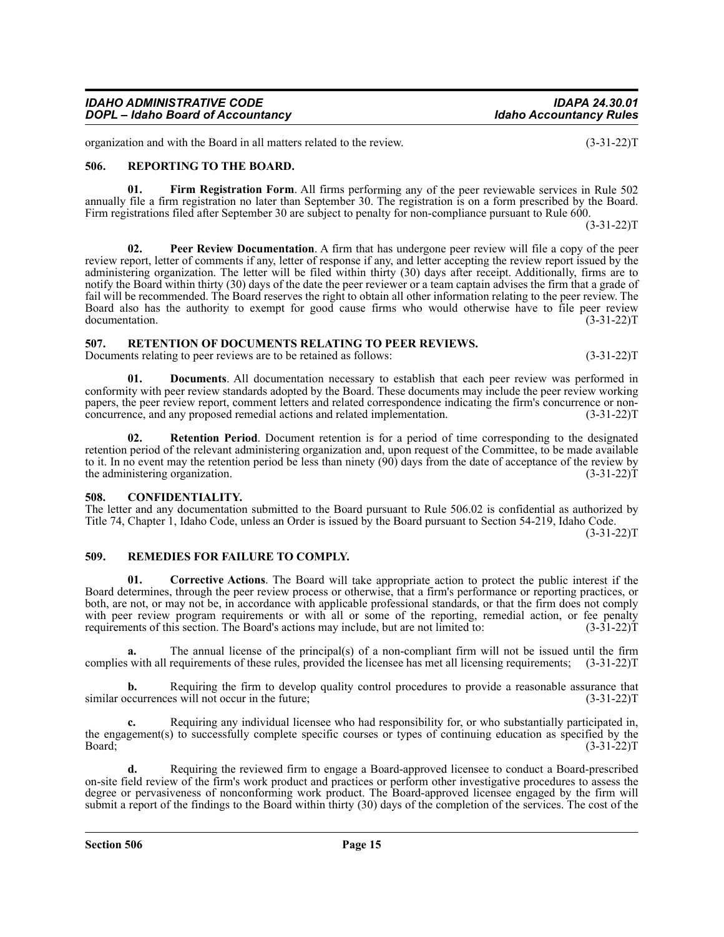| <b>IDAHO ADMINISTRATIVE CODE</b>         | <b>IDAPA 24.30.01</b>          |
|------------------------------------------|--------------------------------|
| <b>DOPL</b> - Idaho Board of Accountancy | <b>Idaho Accountancy Rules</b> |

organization and with the Board in all matters related to the review. (3-31-22)T

#### <span id="page-14-0"></span>**506. REPORTING TO THE BOARD.**

**01. Firm Registration Form**. All firms performing any of the peer reviewable services in Rule 502 annually file a firm registration no later than September 30. The registration is on a form prescribed by the Board. Firm registrations filed after September 30 are subject to penalty for non-compliance pursuant to Rule 600.

 $(3-31-22)T$ 

**02. Peer Review Documentation**. A firm that has undergone peer review will file a copy of the peer review report, letter of comments if any, letter of response if any, and letter accepting the review report issued by the administering organization. The letter will be filed within thirty (30) days after receipt. Additionally, firms are to notify the Board within thirty (30) days of the date the peer reviewer or a team captain advises the firm that a grade of fail will be recommended. The Board reserves the right to obtain all other information relating to the peer review. The Board also has the authority to exempt for good cause firms who would otherwise have to file peer review documentation. (3-31-22) documentation.

#### <span id="page-14-1"></span>**507. RETENTION OF DOCUMENTS RELATING TO PEER REVIEWS.**

Documents relating to peer reviews are to be retained as follows: (3-31-22)

**01. Documents**. All documentation necessary to establish that each peer review was performed in conformity with peer review standards adopted by the Board. These documents may include the peer review working papers, the peer review report, comment letters and related correspondence indicating the firm's concurrence or nonconcurrence, and any proposed remedial actions and related implementation. (3-31-22)T

**02. Retention Period**. Document retention is for a period of time corresponding to the designated retention period of the relevant administering organization and, upon request of the Committee, to be made available to it. In no event may the retention period be less than ninety (90) days from the date of acceptance of the review by the administering organization. (3-31-22)T

#### <span id="page-14-2"></span>**508. CONFIDENTIALITY.**

The letter and any documentation submitted to the Board pursuant to Rule 506.02 is confidential as authorized by Title 74, Chapter 1, Idaho Code, unless an Order is issued by the Board pursuant to Section 54-219, Idaho Code.

 $(3-31-22)T$ 

#### <span id="page-14-3"></span>**509. REMEDIES FOR FAILURE TO COMPLY.**

**01. Corrective Actions**. The Board will take appropriate action to protect the public interest if the Board determines, through the peer review process or otherwise, that a firm's performance or reporting practices, or both, are not, or may not be, in accordance with applicable professional standards, or that the firm does not comply with peer review program requirements or with all or some of the reporting, remedial action, or fee penalty requirements of this section. The Board's actions may include, but are not limited to: (3-31-22)T

**a.** The annual license of the principal(s) of a non-compliant firm will not be issued until the firm complies with all requirements of these rules, provided the licensee has met all licensing requirements; (3-31-22)T

**b.** Requiring the firm to develop quality control procedures to provide a reasonable assurance that similar occurrences will not occur in the future; (3-31-22)T

**c.** Requiring any individual licensee who had responsibility for, or who substantially participated in, the engagement(s) to successfully complete specific courses or types of continuing education as specified by the Board; (3-31-22)T

**d.** Requiring the reviewed firm to engage a Board-approved licensee to conduct a Board-prescribed on-site field review of the firm's work product and practices or perform other investigative procedures to assess the degree or pervasiveness of nonconforming work product. The Board-approved licensee engaged by the firm will submit a report of the findings to the Board within thirty (30) days of the completion of the services. The cost of the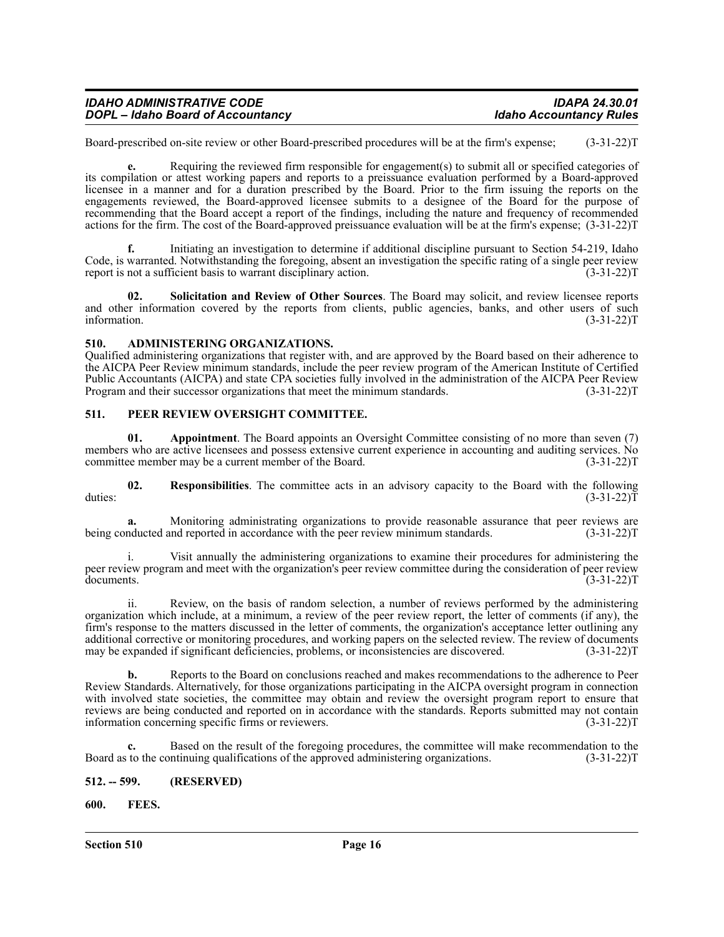| <b>IDAHO ADMINISTRATIVE CODE</b>         | <b>IDAPA 24.30.01</b>          |
|------------------------------------------|--------------------------------|
| <b>DOPL</b> - Idaho Board of Accountancy | <b>Idaho Accountancy Rules</b> |

Board-prescribed on-site review or other Board-prescribed procedures will be at the firm's expense; (3-31-22)T

**e.** Requiring the reviewed firm responsible for engagement(s) to submit all or specified categories of its compilation or attest working papers and reports to a preissuance evaluation performed by a Board-approved licensee in a manner and for a duration prescribed by the Board. Prior to the firm issuing the reports on the engagements reviewed, the Board-approved licensee submits to a designee of the Board for the purpose of recommending that the Board accept a report of the findings, including the nature and frequency of recommended actions for the firm. The cost of the Board-approved preissuance evaluation will be at the firm's expense; (3-31-22)T

**f.** Initiating an investigation to determine if additional discipline pursuant to Section 54-219, Idaho Code, is warranted. Notwithstanding the foregoing, absent an investigation the specific rating of a single peer review report is not a sufficient basis to warrant disciplinary action. (3-31-22) T

**02. Solicitation and Review of Other Sources**. The Board may solicit, and review licensee reports and other information covered by the reports from clients, public agencies, banks, and other users of such information. (3-31-22)T information.  $(3-31-22)T$ 

#### <span id="page-15-0"></span>**510. ADMINISTERING ORGANIZATIONS.**

Qualified administering organizations that register with, and are approved by the Board based on their adherence to the AICPA Peer Review minimum standards, include the peer review program of the American Institute of Certified Public Accountants (AICPA) and state CPA societies fully involved in the administration of the AICPA Peer Review<br>Program and their successor organizations that meet the minimum standards. (3-31-22) Program and their successor organizations that meet the minimum standards.

#### <span id="page-15-1"></span>**511. PEER REVIEW OVERSIGHT COMMITTEE.**

**01. Appointment**. The Board appoints an Oversight Committee consisting of no more than seven (7) members who are active licensees and possess extensive current experience in accounting and auditing services. No<br>committee member may be a current member of the Board. (3-31-22) committee member may be a current member of the Board.

**02.** Responsibilities. The committee acts in an advisory capacity to the Board with the following (3-31-22) duties:  $(3-31-22)T$ 

**a.** Monitoring administrating organizations to provide reasonable assurance that peer reviews are being conducted and reported in accordance with the peer review minimum standards. (3-31-22)T

i. Visit annually the administering organizations to examine their procedures for administering the peer review program and meet with the organization's peer review committee during the consideration of peer review documents. (3-31-22)T

ii. Review, on the basis of random selection, a number of reviews performed by the administering organization which include, at a minimum, a review of the peer review report, the letter of comments (if any), the firm's response to the matters discussed in the letter of comments, the organization's acceptance letter outlining any additional corrective or monitoring procedures, and working papers on the selected review. The review of documents may be expanded if significant deficiencies, problems, or inconsistencies are discovered. (3-31-22)T may be expanded if significant deficiencies, problems, or inconsistencies are discovered.

**b.** Reports to the Board on conclusions reached and makes recommendations to the adherence to Peer Review Standards. Alternatively, for those organizations participating in the AICPA oversight program in connection with involved state societies, the committee may obtain and review the oversight program report to ensure that reviews are being conducted and reported on in accordance with the standards. Reports submitted may not contain information concerning specific firms or reviewers. (3-31-22) information concerning specific firms or reviewers.

**c.** Based on the result of the foregoing procedures, the committee will make recommendation to the Board as to the continuing qualifications of the approved administering organizations. (3-31-22)T

<span id="page-15-2"></span>**512. -- 599. (RESERVED)**

<span id="page-15-3"></span>**600. FEES.**